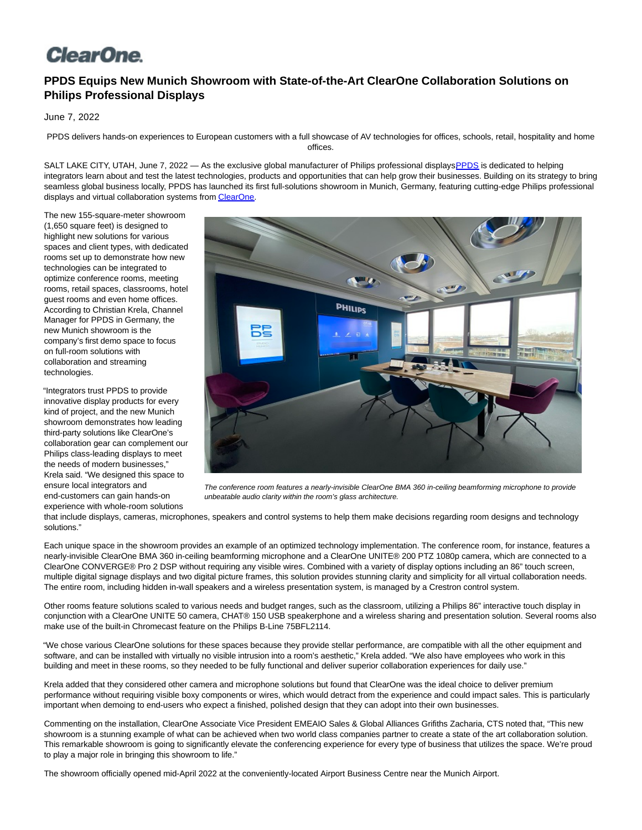## **ClearOne**

## **PPDS Equips New Munich Showroom with State-of-the-Art ClearOne Collaboration Solutions on Philips Professional Displays**

## June 7, 2022

PPDS delivers hands-on experiences to European customers with a full showcase of AV technologies for offices, schools, retail, hospitality and home offices.

SALT LAKE CITY, UTAH, June 7, 2022 — As the exclusive global manufacturer of Philips professional displays PPDS is dedicated to helping integrators learn about and test the latest technologies, products and opportunities that can help grow their businesses. Building on its strategy to bring seamless global business locally, PPDS has launched its first full-solutions showroom in Munich, Germany, featuring cutting-edge Philips professional displays and virtual collaboration systems fro[m ClearOne.](http://www.clearone.com/)

The new 155-square-meter showroom (1,650 square feet) is designed to highlight new solutions for various spaces and client types, with dedicated rooms set up to demonstrate how new technologies can be integrated to optimize conference rooms, meeting rooms, retail spaces, classrooms, hotel guest rooms and even home offices. According to Christian Krela, Channel Manager for PPDS in Germany, the new Munich showroom is the company's first demo space to focus on full-room solutions with collaboration and streaming technologies.

"Integrators trust PPDS to provide innovative display products for every kind of project, and the new Munich showroom demonstrates how leading third-party solutions like ClearOne's collaboration gear can complement our Philips class-leading displays to meet the needs of modern businesses," Krela said. "We designed this space to ensure local integrators and end-customers can gain hands-on experience with whole-room solutions



The conference room features a nearly-invisible ClearOne BMA 360 in-ceiling beamforming microphone to provide unbeatable audio clarity within the room's glass architecture.

that include displays, cameras, microphones, speakers and control systems to help them make decisions regarding room designs and technology solutions."

Each unique space in the showroom provides an example of an optimized technology implementation. The conference room, for instance, features a nearly-invisible ClearOne BMA 360 in-ceiling beamforming microphone and a ClearOne UNITE® 200 PTZ 1080p camera, which are connected to a ClearOne CONVERGE® Pro 2 DSP without requiring any visible wires. Combined with a variety of display options including an 86" touch screen, multiple digital signage displays and two digital picture frames, this solution provides stunning clarity and simplicity for all virtual collaboration needs. The entire room, including hidden in-wall speakers and a wireless presentation system, is managed by a Crestron control system.

Other rooms feature solutions scaled to various needs and budget ranges, such as the classroom, utilizing a Philips 86" interactive touch display in conjunction with a ClearOne UNITE 50 camera, CHAT® 150 USB speakerphone and a wireless sharing and presentation solution. Several rooms also make use of the built-in Chromecast feature on the Philips B-Line 75BFL2114.

"We chose various ClearOne solutions for these spaces because they provide stellar performance, are compatible with all the other equipment and software, and can be installed with virtually no visible intrusion into a room's aesthetic," Krela added. "We also have employees who work in this building and meet in these rooms, so they needed to be fully functional and deliver superior collaboration experiences for daily use."

Krela added that they considered other camera and microphone solutions but found that ClearOne was the ideal choice to deliver premium performance without requiring visible boxy components or wires, which would detract from the experience and could impact sales. This is particularly important when demoing to end-users who expect a finished, polished design that they can adopt into their own businesses.

Commenting on the installation, ClearOne Associate Vice President EMEAIO Sales & Global Alliances Grifiths Zacharia, CTS noted that, "This new showroom is a stunning example of what can be achieved when two world class companies partner to create a state of the art collaboration solution. This remarkable showroom is going to significantly elevate the conferencing experience for every type of business that utilizes the space. We're proud to play a major role in bringing this showroom to life."

The showroom officially opened mid-April 2022 at the conveniently-located Airport Business Centre near the Munich Airport.